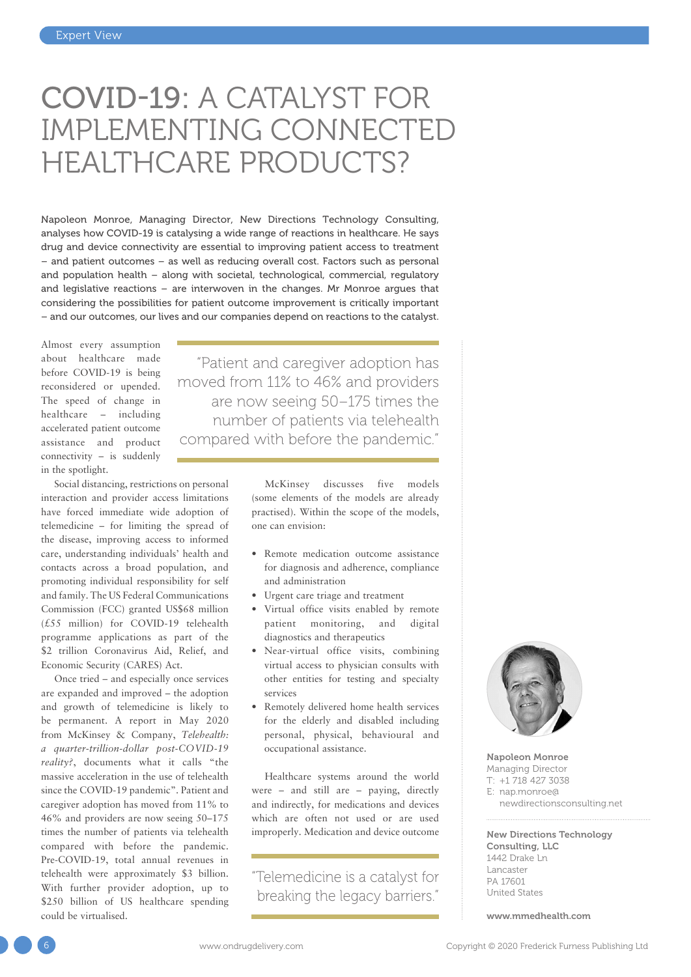# COVID-19: A CATALYST FOR IMPLEMENTING CONNECTED HEALTHCARE PRODUCTS?

Napoleon Monroe, Managing Director, New Directions Technology Consulting, analyses how COVID-19 is catalysing a wide range of reactions in healthcare. He says drug and device connectivity are essential to improving patient access to treatment – and patient outcomes – as well as reducing overall cost. Factors such as personal and population health – along with societal, technological, commercial, regulatory and legislative reactions – are interwoven in the changes. Mr Monroe argues that considering the possibilities for patient outcome improvement is critically important – and our outcomes, our lives and our companies depend on reactions to the catalyst.

Almost every assumption about healthcare made before COVID-19 is being reconsidered or upended. The speed of change in healthcare – including accelerated patient outcome assistance and product connectivity – is suddenly in the spotlight.

Social distancing, restrictions on personal interaction and provider access limitations have forced immediate wide adoption of telemedicine – for limiting the spread of the disease, improving access to informed care, understanding individuals' health and contacts across a broad population, and promoting individual responsibility for self and family. The US Federal Communications Commission (FCC) granted US\$68 million (£55 million) for COVID-19 telehealth programme applications as part of the \$2 trillion Coronavirus Aid, Relief, and Economic Security (CARES) Act.

Once tried – and especially once services are expanded and improved – the adoption and growth of telemedicine is likely to be permanent. A report in May 2020 from McKinsey & Company, *Telehealth: a quarter-trillion-dollar post-COVID-19 reality?*, documents what it calls "the massive acceleration in the use of telehealth since the COVID-19 pandemic". Patient and caregiver adoption has moved from 11% to 46% and providers are now seeing 50–175 times the number of patients via telehealth compared with before the pandemic. Pre-COVID-19, total annual revenues in telehealth were approximately \$3 billion. With further provider adoption, up to \$250 billion of US healthcare spending could be virtualised.

"Patient and caregiver adoption has moved from 11% to 46% and providers are now seeing 50–175 times the number of patients via telehealth compared with before the pandemic."

> McKinsey discusses five models (some elements of the models are already practised). Within the scope of the models, one can envision:

- Remote medication outcome assistance for diagnosis and adherence, compliance and administration
- Urgent care triage and treatment
- Virtual office visits enabled by remote patient monitoring, and digital diagnostics and therapeutics
- Near-virtual office visits, combining virtual access to physician consults with other entities for testing and specialty services
- Remotely delivered home health services for the elderly and disabled including personal, physical, behavioural and occupational assistance.

Healthcare systems around the world were – and still are – paying, directly and indirectly, for medications and devices which are often not used or are used improperly. Medication and device outcome

"Telemedicine is a catalyst for breaking the legacy barriers."



Napoleon Monroe Managing Director T: +1 718 427 3038 E: [nap.monroe@](mailto:nap.monroe%40newdirectionsconsulting.net?subject=) [newdirectionsconsulting.net](mailto:nap.monroe%40newdirectionsconsulting.net?subject=)

#### New Directions Technology Consulting, LLC 1442 Drake Ln Lancaster PA 17601 United States

[www.mmedhealth.com](https://www.mmedhealth.com)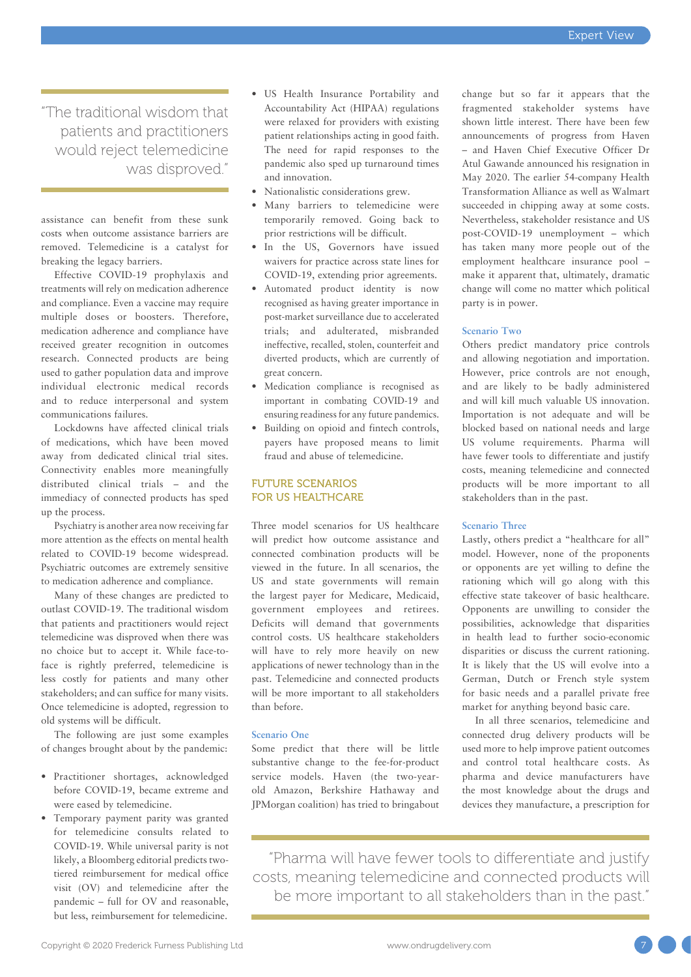"The traditional wisdom that patients and practitioners would reject telemedicine was disproved."

assistance can benefit from these sunk costs when outcome assistance barriers are removed. Telemedicine is a catalyst for breaking the legacy barriers.

Effective COVID-19 prophylaxis and treatments will rely on medication adherence and compliance. Even a vaccine may require multiple doses or boosters. Therefore, medication adherence and compliance have received greater recognition in outcomes research. Connected products are being used to gather population data and improve individual electronic medical records and to reduce interpersonal and system communications failures.

Lockdowns have affected clinical trials of medications, which have been moved away from dedicated clinical trial sites. Connectivity enables more meaningfully distributed clinical trials – and the immediacy of connected products has sped up the process.

Psychiatry is another area now receiving far more attention as the effects on mental health related to COVID-19 become widespread. Psychiatric outcomes are extremely sensitive to medication adherence and compliance.

Many of these changes are predicted to outlast COVID-19. The traditional wisdom that patients and practitioners would reject telemedicine was disproved when there was no choice but to accept it. While face-toface is rightly preferred, telemedicine is less costly for patients and many other stakeholders; and can suffice for many visits. Once telemedicine is adopted, regression to old systems will be difficult.

The following are just some examples of changes brought about by the pandemic:

- Practitioner shortages, acknowledged before COVID-19, became extreme and were eased by telemedicine.
- Temporary payment parity was granted for telemedicine consults related to COVID-19. While universal parity is not likely, a Bloomberg editorial predicts twotiered reimbursement for medical office visit (OV) and telemedicine after the pandemic – full for OV and reasonable, but less, reimbursement for telemedicine.
- US Health Insurance Portability and Accountability Act (HIPAA) regulations were relaxed for providers with existing patient relationships acting in good faith. The need for rapid responses to the pandemic also sped up turnaround times and innovation.
- Nationalistic considerations grew.
- Many barriers to telemedicine were temporarily removed. Going back to prior restrictions will be difficult.
- In the US, Governors have issued waivers for practice across state lines for COVID-19, extending prior agreements.
- Automated product identity is now recognised as having greater importance in post-market surveillance due to accelerated trials; and adulterated, misbranded ineffective, recalled, stolen, counterfeit and diverted products, which are currently of great concern.
- Medication compliance is recognised as important in combating COVID-19 and ensuring readiness for any future pandemics.
- Building on opioid and fintech controls, payers have proposed means to limit fraud and abuse of telemedicine.

### FUTURE SCENARIOS FOR US HEALTHCARE

Three model scenarios for US healthcare will predict how outcome assistance and connected combination products will be viewed in the future. In all scenarios, the US and state governments will remain the largest payer for Medicare, Medicaid, government employees and retirees. Deficits will demand that governments control costs. US healthcare stakeholders will have to rely more heavily on new applications of newer technology than in the past. Telemedicine and connected products will be more important to all stakeholders than before.

### **Scenario One**

Some predict that there will be little substantive change to the fee-for-product service models. Haven (the two-yearold Amazon, Berkshire Hathaway and JPMorgan coalition) has tried to bringabout change but so far it appears that the fragmented stakeholder systems have shown little interest. There have been few announcements of progress from Haven – and Haven Chief Executive Officer Dr Atul Gawande announced his resignation in May 2020. The earlier 54-company Health Transformation Alliance as well as Walmart succeeded in chipping away at some costs. Nevertheless, stakeholder resistance and US post-COVID-19 unemployment – which has taken many more people out of the employment healthcare insurance pool – make it apparent that, ultimately, dramatic change will come no matter which political party is in power.

### **Scenario Two**

Others predict mandatory price controls and allowing negotiation and importation. However, price controls are not enough, and are likely to be badly administered and will kill much valuable US innovation. Importation is not adequate and will be blocked based on national needs and large US volume requirements. Pharma will have fewer tools to differentiate and justify costs, meaning telemedicine and connected products will be more important to all stakeholders than in the past.

### **Scenario Three**

Lastly, others predict a "healthcare for all" model. However, none of the proponents or opponents are yet willing to define the rationing which will go along with this effective state takeover of basic healthcare. Opponents are unwilling to consider the possibilities, acknowledge that disparities in health lead to further socio-economic disparities or discuss the current rationing. It is likely that the US will evolve into a German, Dutch or French style system for basic needs and a parallel private free market for anything beyond basic care.

In all three scenarios, telemedicine and connected drug delivery products will be used more to help improve patient outcomes and control total healthcare costs. As pharma and device manufacturers have the most knowledge about the drugs and devices they manufacture, a prescription for

"Pharma will have fewer tools to differentiate and justify costs, meaning telemedicine and connected products will be more important to all stakeholders than in the past."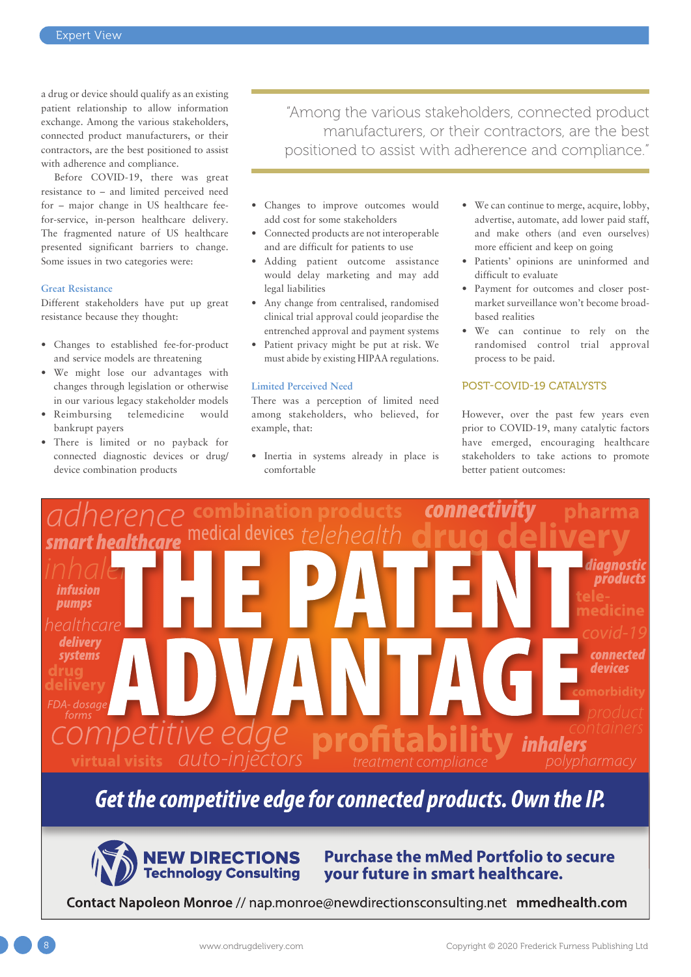a drug or device should qualify as an existing patient relationship to allow information exchange. Among the various stakeholders, connected product manufacturers, or their contractors, are the best positioned to assist with adherence and compliance.

Before COVID-19, there was great resistance to – and limited perceived need for – major change in US healthcare feefor-service, in-person healthcare delivery. The fragmented nature of US healthcare presented significant barriers to change. Some issues in two categories were:

### **Great Resistance**

Different stakeholders have put up great resistance because they thought:

- Changes to established fee-for-product and service models are threatening
- We might lose our advantages with changes through legislation or otherwise in our various legacy stakeholder models
- Reimbursing telemedicine would bankrupt payers
- There is limited or no payback for connected diagnostic devices or drug/ device combination products

"Among the various stakeholders, connected product manufacturers, or their contractors, are the best positioned to assist with adherence and compliance."

- Changes to improve outcomes would add cost for some stakeholders
- Connected products are not interoperable and are difficult for patients to use
- Adding patient outcome assistance would delay marketing and may add legal liabilities
- Any change from centralised, randomised clinical trial approval could jeopardise the entrenched approval and payment systems
- Patient privacy might be put at risk. We must abide by existing HIPAA regulations.

### **Limited Perceived Need**

There was a perception of limited need among stakeholders, who believed, for example, that:

• Inertia in systems already in place is comfortable

- We can continue to merge, acquire, lobby, advertise, automate, add lower paid staff, and make others (and even ourselves) more efficient and keep on going
- Patients' opinions are uninformed and difficult to evaluate
- Payment for outcomes and closer postmarket surveillance won't become broadbased realities
- We can continue to rely on the randomised control trial approval process to be paid.

### POST-COVID-19 CATALYSTS

However, over the past few years even prior to COVID-19, many catalytic factors have emerged, encouraging healthcare stakeholders to take actions to promote better patient outcomes:



## Get the competitive edge for connected products. Own the IP.



### **Purchase the mMed Portfolio to secure** your future in smart healthcare.

Contact Napoleon Monroe // nap.monroe@newdirectionsconsulting.net mmedhealth.com